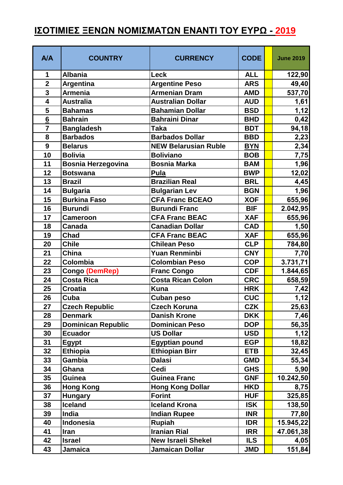## **ΙΣΟΤΙΜΙΕΣ ΞΕΝΩΝ ΝΟΜΙΣΜΑΤΩΝ ΕΝΑΝΤΙ ΤΟΥ ΕΥΡΩ - 2019**

| <b>A/A</b>      | <b>COUNTRY</b>            | <b>CURRENCY</b>             | <b>CODE</b> | <b>June 2019</b> |
|-----------------|---------------------------|-----------------------------|-------------|------------------|
| 1               | <b>Albania</b>            | Leck                        | <b>ALL</b>  | 122,90           |
| $\overline{2}$  | Argentina                 | <b>Argentine Peso</b>       | <b>ARS</b>  | 49,40            |
| $\overline{3}$  | <b>Armenia</b>            | <b>Armenian Dram</b>        | <b>AMD</b>  | 537,70           |
| 4               | <b>Australia</b>          | <b>Australian Dollar</b>    | <b>AUD</b>  | 1,61             |
| 5               | <b>Bahamas</b>            | <b>Bahamian Dollar</b>      | <b>BSD</b>  | 1,12             |
| $6\overline{6}$ | <b>Bahrain</b>            | <b>Bahraini Dinar</b>       | <b>BHD</b>  | 0,42             |
| $\overline{7}$  | <b>Bangladesh</b>         | <b>Taka</b>                 | <b>BDT</b>  | 94,18            |
| 8               | <b>Barbados</b>           | <b>Barbados Dollar</b>      | <b>BBD</b>  | 2,23             |
| 9               | <b>Belarus</b>            | <b>NEW Belarusian Ruble</b> | <b>BYN</b>  | 2,34             |
| 10              | <b>Bolivia</b>            | <b>Boliviano</b>            | <b>BOB</b>  | 7,75             |
| 11              | <b>Bosnia Herzegovina</b> | <b>Bosnia Marka</b>         | <b>BAM</b>  | 1,96             |
| 12              | <b>Botswana</b>           | Pula                        | <b>BWP</b>  | 12,02            |
| 13              | <b>Brazil</b>             | <b>Brazilian Real</b>       | <b>BRL</b>  | 4,45             |
| 14              | <b>Bulgaria</b>           | <b>Bulgarian Lev</b>        | <b>BGN</b>  | 1,96             |
| 15              | <b>Burkina Faso</b>       | <b>CFA Franc BCEAO</b>      | <b>XOF</b>  | 655,96           |
| 16              | <b>Burundi</b>            | <b>Burundi Franc</b>        | <b>BIF</b>  | 2.042,95         |
| 17              | <b>Cameroon</b>           | <b>CFA Franc BEAC</b>       | <b>XAF</b>  | 655,96           |
| 18              | <b>Canada</b>             | <b>Canadian Dollar</b>      | <b>CAD</b>  | 1,50             |
| 19              | <b>Chad</b>               | <b>CFA Franc BEAC</b>       | <b>XAF</b>  | 655,96           |
| 20              | <b>Chile</b>              | <b>Chilean Peso</b>         | <b>CLP</b>  | 784,80           |
| 21              | <b>China</b>              | Yuan Renminbi               | <b>CNY</b>  | 7,70             |
| 22              | Colombia                  | <b>Colombian Peso</b>       | <b>COP</b>  | 3.731,71         |
| 23              | <b>Congo (DemRep)</b>     | <b>Franc Congo</b>          | <b>CDF</b>  | 1.844,65         |
| 24              | <b>Costa Rica</b>         | <b>Costa Rican Colon</b>    | <b>CRC</b>  | 658,59           |
| 25              | <b>Croatia</b>            | <b>Kuna</b>                 | <b>HRK</b>  | 7,42             |
| 26              | Cuba                      | Cuban peso                  | <b>CUC</b>  | 1,12             |
| 27              | <b>Czech Republic</b>     | <b>Czech Koruna</b>         | <b>CZK</b>  | 25,63            |
| 28              | <b>Denmark</b>            | <b>Danish Krone</b>         | <b>DKK</b>  | 7,46             |
| 29              | <b>Dominican Republic</b> | <b>Dominican Peso</b>       | <b>DOP</b>  | 56,35            |
| 30              | <b>Ecuador</b>            | <b>US Dollar</b>            | <b>USD</b>  | 1,12             |
| 31              | Egypt                     | <b>Egyptian pound</b>       | <b>EGP</b>  | 18,82            |
| 32              | <b>Ethiopia</b>           | <b>Ethiopian Birr</b>       | <b>ETB</b>  | 32,45            |
| 33              | <b>Gambia</b>             | <b>Dalasi</b>               | <b>GMD</b>  | 55,34            |
| 34              | Ghana                     | Cedi                        | <b>GHS</b>  | 5,90             |
| 35              | <b>Guinea</b>             | <b>Guinea Franc</b>         | <b>GNF</b>  | 10.242,50        |
| 36              | <b>Hong Kong</b>          | <b>Hong Kong Dollar</b>     | <b>HKD</b>  | 8,75             |
| 37              | <b>Hungary</b>            | <b>Forint</b>               | <b>HUF</b>  | 325,85           |
| 38              | <b>Iceland</b>            | <b>Iceland Krona</b>        | <b>ISK</b>  | 138,50           |
| 39              | India                     | <b>Indian Rupee</b>         | <b>INR</b>  | 77,80            |
| 40              | <b>Indonesia</b>          | <b>Rupiah</b>               | <b>IDR</b>  | 15.945,22        |
| 41              | <b>Iran</b>               | <b>Iranian Rial</b>         | <b>IRR</b>  | 47.061,38        |
| 42              | <b>Israel</b>             | <b>New Israeli Shekel</b>   | <b>ILS</b>  | 4,05             |
| 43              | <b>Jamaica</b>            | Jamaican Dollar             | <b>JMD</b>  | 151,84           |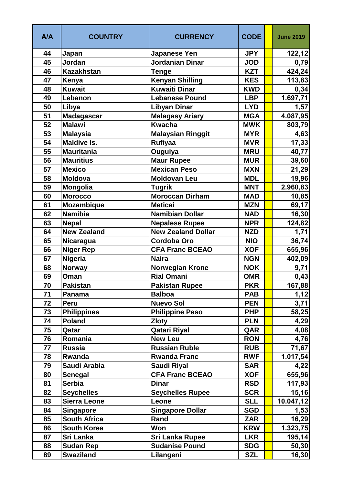| <b>A/A</b> | <b>COUNTRY</b>      | <b>CURRENCY</b>           | <b>CODE</b> | <b>June 2019</b> |
|------------|---------------------|---------------------------|-------------|------------------|
| 44         | Japan               | <b>Japanese Yen</b>       | <b>JPY</b>  | 122, 12          |
| 45         | Jordan              | Jordanian Dinar           | <b>JOD</b>  | 0,79             |
| 46         | <b>Kazakhstan</b>   | Tenge                     | <b>KZT</b>  | 424,24           |
| 47         | Kenya               | <b>Kenyan Shilling</b>    | <b>KES</b>  | 113,83           |
| 48         | <b>Kuwait</b>       | Kuwaiti Dinar             | <b>KWD</b>  | 0,34             |
| 49         | Lebanon             | <b>Lebanese Pound</b>     | <b>LBP</b>  | 1.697,71         |
| 50         | Libya               | <b>Libyan Dinar</b>       | <b>LYD</b>  | 1,57             |
| 51         | <b>Madagascar</b>   | <b>Malagasy Ariary</b>    | <b>MGA</b>  | 4.087,95         |
| 52         | <b>Malawi</b>       | <b>Kwacha</b>             | <b>MWK</b>  | 803,79           |
| 53         | <b>Malaysia</b>     | <b>Malaysian Ringgit</b>  | <b>MYR</b>  | 4,63             |
| 54         | <b>Maldive Is.</b>  | <b>Rufiyaa</b>            | <b>MVR</b>  | 17,33            |
| 55         | <b>Mauritania</b>   | Ouguiya                   | <b>MRU</b>  | 40,77            |
| 56         | <b>Mauritius</b>    | <b>Maur Rupee</b>         | <b>MUR</b>  | 39,60            |
| 57         | <b>Mexico</b>       | <b>Mexican Peso</b>       | <b>MXN</b>  | 21,29            |
| 58         | <b>Moldova</b>      | <b>Moldovan Leu</b>       | <b>MDL</b>  | 19,96            |
| 59         | Mongolia            | <b>Tugrik</b>             | <b>MNT</b>  | 2.960,83         |
| 60         | <b>Morocco</b>      | <b>Moroccan Dirham</b>    | <b>MAD</b>  | 10,85            |
| 61         | Mozambique          | <b>Meticai</b>            | <b>MZN</b>  | 69,17            |
| 62         | <b>Namibia</b>      | Namibian Dollar           | <b>NAD</b>  | 16,30            |
| 63         | <b>Nepal</b>        | <b>Nepalese Rupee</b>     | <b>NPR</b>  | 124,82           |
| 64         | <b>New Zealand</b>  | <b>New Zealand Dollar</b> | <b>NZD</b>  | 1,71             |
| 65         | Nicaragua           | <b>Cordoba Oro</b>        | <b>NIO</b>  | 36,74            |
| 66         | <b>Niger Rep</b>    | <b>CFA Franc BCEAO</b>    | <b>XOF</b>  | 655,96           |
| 67         | <b>Nigeria</b>      | <b>Naira</b>              | <b>NGN</b>  | 402,09           |
| 68         | Norway              | Norwegian Krone           | <b>NOK</b>  | 9,71             |
| 69         | Oman                | <b>Rial Omani</b>         | <b>OMR</b>  | 0,43             |
| 70         | Pakistan            | <b>Pakistan Rupee</b>     | <b>PKR</b>  | 167,88           |
| 71         | Panama              | <b>Balboa</b>             | <b>PAB</b>  | 1,12             |
| 72         | <b>Peru</b>         | <b>Nuevo Sol</b>          | <b>PEN</b>  | 3,71             |
| 73         | <b>Philippines</b>  | <b>Philippine Peso</b>    | <b>PHP</b>  | 58,25            |
| 74         | <b>Poland</b>       | <b>Zloty</b>              | <b>PLN</b>  | 4,29             |
| 75         | Qatar               | <b>Qatari Riyal</b>       | QAR         | 4,08             |
| 76         | Romania             | <b>New Leu</b>            | <b>RON</b>  | 4,76             |
| 77         | <b>Russia</b>       | <b>Russian Ruble</b>      | <b>RUB</b>  | 71,67            |
| 78         | Rwanda              | <b>Rwanda Franc</b>       | <b>RWF</b>  | 1.017,54         |
| 79         | Saudi Arabia        | Saudi Riyal               | <b>SAR</b>  | 4,22             |
| 80         | <b>Senegal</b>      | <b>CFA Franc BCEAO</b>    | <b>XOF</b>  | 655,96           |
| 81         | <b>Serbia</b>       | <b>Dinar</b>              | <b>RSD</b>  | 117,93           |
| 82         | <b>Seychelles</b>   | <b>Seychelles Rupee</b>   | <b>SCR</b>  | 15,16            |
| 83         | <b>Sierra Leone</b> | Leone                     | <b>SLL</b>  | 10.047,12        |
| 84         | <b>Singapore</b>    | <b>Singapore Dollar</b>   | <b>SGD</b>  | 1,53             |
| 85         | <b>South Africa</b> | Rand                      | <b>ZAR</b>  | 16,29            |
| 86         | <b>South Korea</b>  | Won                       | <b>KRW</b>  | 1.323,75         |
| 87         | Sri Lanka           | <b>Sri Lanka Rupee</b>    | <b>LKR</b>  | 195,14           |
| 88         | <b>Sudan Rep</b>    | <b>Sudanise Pound</b>     | <b>SDG</b>  | 50,30            |
| 89         | <b>Swaziland</b>    | Lilangeni                 | <b>SZL</b>  | 16,30            |